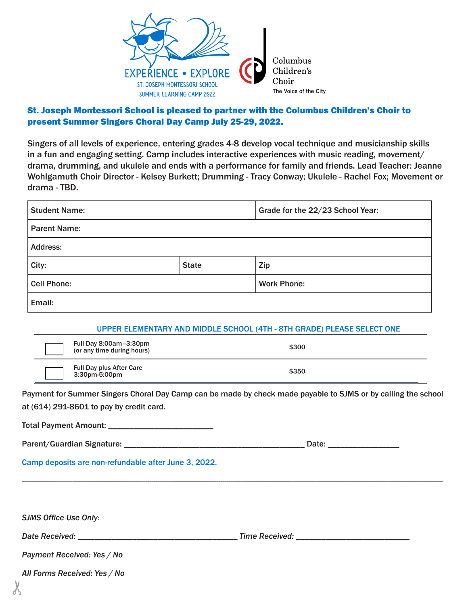

### St. Joseph Montessori School is pleased to partner with the Columbus Children's Choir to present Summer Singers Choral Day Camp July 25-29, 2022.

Singers of all levels of experience, entering grades 4-8 develop vocal technique and musicianship skills in a fun and engaging setting. Camp includes interactive experiences with music reading, movement/ drama, drumming, and ukulele and ends with a performance for family and friends. Lead Teacher: Jeanne Wohlgamuth Choir Director - Kelsey Burkett; Drumming - Tracy Conway; Ukulele - Rachel Fox; Movement or drama - TBD.

|                                                                                                                                                           | <b>Student Name:</b>                                 | Grade for the 22/23 School Year: |                                                                        |  |  |  |
|-----------------------------------------------------------------------------------------------------------------------------------------------------------|------------------------------------------------------|----------------------------------|------------------------------------------------------------------------|--|--|--|
|                                                                                                                                                           | <b>Parent Name:</b>                                  |                                  |                                                                        |  |  |  |
|                                                                                                                                                           | <b>Address:</b>                                      |                                  |                                                                        |  |  |  |
|                                                                                                                                                           | City:                                                | <b>State</b>                     | Zip                                                                    |  |  |  |
| <b>Cell Phone:</b>                                                                                                                                        |                                                      |                                  | <b>Work Phone:</b>                                                     |  |  |  |
|                                                                                                                                                           | Email:                                               |                                  |                                                                        |  |  |  |
|                                                                                                                                                           |                                                      |                                  | UPPER ELEMENTARY AND MIDDLE SCHOOL (4TH - 8TH GRADE) PLEASE SELECT ONE |  |  |  |
|                                                                                                                                                           | Full Day 8:00am-3:30pm<br>(or any time during hours) |                                  | \$300                                                                  |  |  |  |
| Full Day plus After Care<br>\$350<br>3:30pm-5:00pm                                                                                                        |                                                      |                                  |                                                                        |  |  |  |
| Payment for Summer Singers Choral Day Camp can be made by check made payable to SJMS or by calling the school<br>at (614) 291-8601 to pay by credit card. |                                                      |                                  |                                                                        |  |  |  |
|                                                                                                                                                           |                                                      |                                  |                                                                        |  |  |  |
|                                                                                                                                                           |                                                      |                                  |                                                                        |  |  |  |
|                                                                                                                                                           | Camp deposits are non-refundable after June 3, 2022. |                                  |                                                                        |  |  |  |
|                                                                                                                                                           |                                                      |                                  |                                                                        |  |  |  |
|                                                                                                                                                           | <b>SJMS Office Use Only:</b>                         |                                  |                                                                        |  |  |  |
|                                                                                                                                                           |                                                      |                                  |                                                                        |  |  |  |
|                                                                                                                                                           | Payment Received: Yes / No                           |                                  |                                                                        |  |  |  |
|                                                                                                                                                           | All Forms Received: Yes / No                         |                                  |                                                                        |  |  |  |
|                                                                                                                                                           |                                                      |                                  |                                                                        |  |  |  |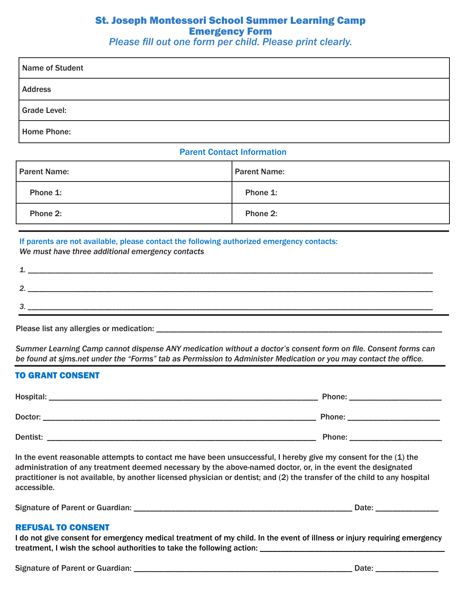### St. Joseph Montessori School Summer Learning Camp Emergency Form

*Please fill out one form per child. Please print clearly.*

| Name of Student     |  |
|---------------------|--|
| <b>Address</b>      |  |
| <b>Grade Level:</b> |  |
| <b>Home Phone:</b>  |  |

### Parent Contact Information

| <b>Parent Name:</b> | <b>Parent Name:</b> |  |  |
|---------------------|---------------------|--|--|
| Phone 1:            | Phone 1:            |  |  |
| Phone 2:            | Phone 2:            |  |  |

### If parents are not available, please contact the following authorized emergency contacts:

*We must have three additional emergency contacts*

| - |            |
|---|------------|
|   |            |
|   | __________ |

Please list any allergies or medication: *please* 

*Summer Learning Camp cannot dispense ANY medication without a doctor's consent form on file. Consent forms can be found at sjms.net under the "Forms" tab as Permission to Administer Medication or you may contact the office.*

### TO GRANT CONSENT

| Hospital: | Phone: |
|-----------|--------|
| Doctor:   | Phone: |
| Dentist:  | Phone: |

In the event reasonable attempts to contact me have been unsuccessful, I hereby give my consent for the (1) the administration of any treatment deemed necessary by the above-named doctor, or, in the event the designated practitioner is not available, by another licensed physician or dentist; and (2) the transfer of the child to any hospital accessible.

Signature of Parent or Guardian: \_\_\_\_\_\_\_\_\_\_\_\_\_\_\_\_\_\_\_\_\_\_\_\_\_\_\_\_\_\_\_\_\_\_\_\_\_\_\_\_\_\_\_\_\_\_\_\_\_\_\_\_ Date: \_\_\_\_\_\_\_\_\_\_\_\_\_\_\_

#### REFUSAL TO CONSENT

I do not give consent for emergency medical treatment of my child. In the event of illness or injury requiring emergency treatment, I wish the school authorities to take the following action: \_\_\_\_\_\_\_\_\_\_\_\_\_\_\_\_\_\_\_\_\_\_\_\_\_\_\_\_\_\_\_\_\_\_\_\_\_\_\_\_\_\_\_\_

Signature of Parent or Guardian: \_\_\_\_\_\_\_\_\_\_\_\_\_\_\_\_\_\_\_\_\_\_\_\_\_\_\_\_\_\_\_\_\_\_\_\_\_\_\_\_\_\_\_\_\_\_\_\_\_\_\_\_ Date: \_\_\_\_\_\_\_\_\_\_\_\_\_\_\_